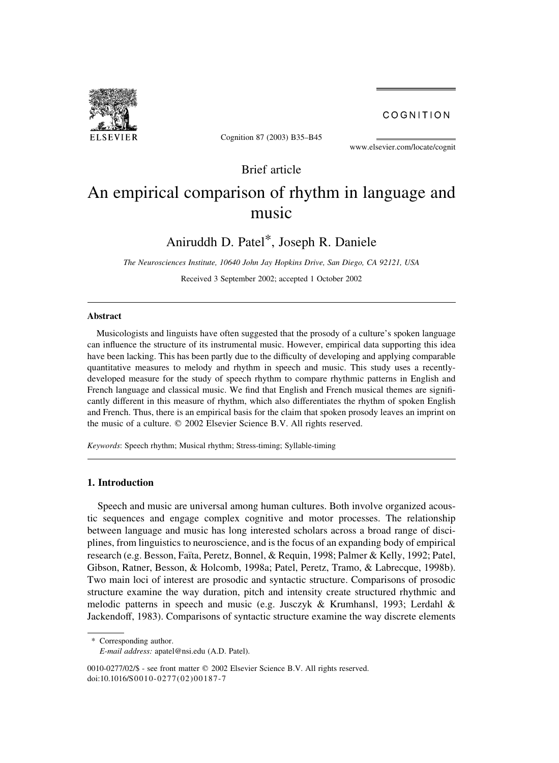

Cognition 87 (2003) B35–B45

A.D. Patel, J.R. Daniele / Cognition 87 (2003) B35–B45 B35

COGNITION

www.elsevier.com/locate/cognit

# Brief article

# An empirical comparison of rhythm in language and music

# Aniruddh D. Patel\*, Joseph R. Daniele

The Neurosciences Institute, 10640 John Jay Hopkins Drive, San Diego, CA 92121, USA

Received 3 September 2002; accepted 1 October 2002

# Abstract

Musicologists and linguists have often suggested that the prosody of a culture's spoken language can influence the structure of its instrumental music. However, empirical data supporting this idea have been lacking. This has been partly due to the difficulty of developing and applying comparable quantitative measures to melody and rhythm in speech and music. This study uses a recentlydeveloped measure for the study of speech rhythm to compare rhythmic patterns in English and French language and classical music. We find that English and French musical themes are significantly different in this measure of rhythm, which also differentiates the rhythm of spoken English and French. Thus, there is an empirical basis for the claim that spoken prosody leaves an imprint on the music of a culture.  $\oslash$  2002 Elsevier Science B.V. All rights reserved.

Keywords: Speech rhythm; Musical rhythm; Stress-timing; Syllable-timing

# 1. Introduction

Speech and music are universal among human cultures. Both involve organized acoustic sequences and engage complex cognitive and motor processes. The relationship between language and music has long interested scholars across a broad range of disciplines, from linguistics to neuroscience, and is the focus of an expanding body of empirical research (e.g. Besson, Faïta, Peretz, Bonnel, & Requin, 1998; Palmer & Kelly, 1992; Patel, Gibson, Ratner, Besson, & Holcomb, 1998a; Patel, Peretz, Tramo, & Labrecque, 1998b). Two main loci of interest are prosodic and syntactic structure. Comparisons of prosodic structure examine the way duration, pitch and intensity create structured rhythmic and melodic patterns in speech and music (e.g. Jusczyk & Krumhansl, 1993; Lerdahl & Jackendoff, 1983). Comparisons of syntactic structure examine the way discrete elements

<sup>\*</sup> Corresponding author.

E-mail address: apatel@nsi.edu (A.D. Patel).

<sup>0010-0277/02/\$ -</sup> see front matter © 2002 Elsevier Science B.V. All rights reserved. doi:10.1016/S0010-0277(02)00187-7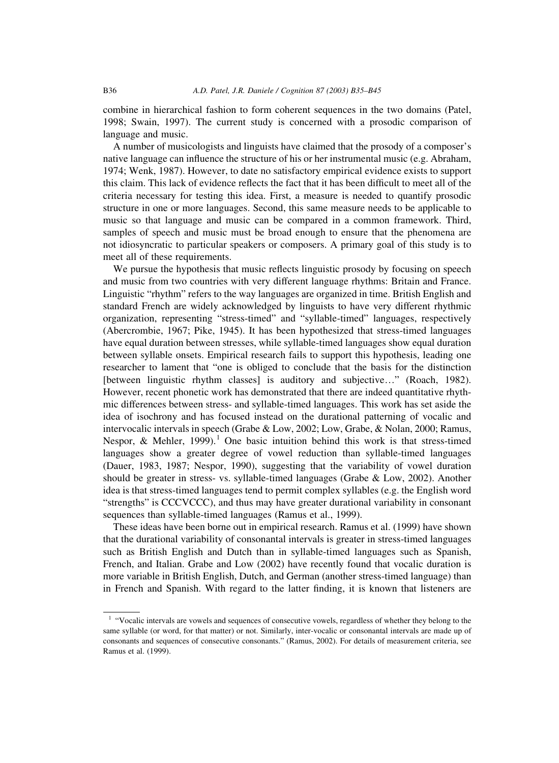combine in hierarchical fashion to form coherent sequences in the two domains (Patel, 1998; Swain, 1997). The current study is concerned with a prosodic comparison of language and music.

A number of musicologists and linguists have claimed that the prosody of a composer's native language can influence the structure of his or her instrumental music (e.g. Abraham, 1974; Wenk, 1987). However, to date no satisfactory empirical evidence exists to support this claim. This lack of evidence reflects the fact that it has been difficult to meet all of the criteria necessary for testing this idea. First, a measure is needed to quantify prosodic structure in one or more languages. Second, this same measure needs to be applicable to music so that language and music can be compared in a common framework. Third, samples of speech and music must be broad enough to ensure that the phenomena are not idiosyncratic to particular speakers or composers. A primary goal of this study is to meet all of these requirements.

We pursue the hypothesis that music reflects linguistic prosody by focusing on speech and music from two countries with very different language rhythms: Britain and France. Linguistic "rhythm" refers to the way languages are organized in time. British English and standard French are widely acknowledged by linguists to have very different rhythmic organization, representing "stress-timed" and "syllable-timed" languages, respectively (Abercrombie, 1967; Pike, 1945). It has been hypothesized that stress-timed languages have equal duration between stresses, while syllable-timed languages show equal duration between syllable onsets. Empirical research fails to support this hypothesis, leading one researcher to lament that "one is obliged to conclude that the basis for the distinction [between linguistic rhythm classes] is auditory and subjective…" (Roach, 1982). However, recent phonetic work has demonstrated that there are indeed quantitative rhythmic differences between stress- and syllable-timed languages. This work has set aside the idea of isochrony and has focused instead on the durational patterning of vocalic and intervocalic intervals in speech (Grabe & Low, 2002; Low, Grabe, & Nolan, 2000; Ramus, Nespor, & Mehler, 1999).<sup>1</sup> One basic intuition behind this work is that stress-timed languages show a greater degree of vowel reduction than syllable-timed languages (Dauer, 1983, 1987; Nespor, 1990), suggesting that the variability of vowel duration should be greater in stress- vs. syllable-timed languages (Grabe & Low, 2002). Another idea is that stress-timed languages tend to permit complex syllables (e.g. the English word "strengths" is CCCVCCC), and thus may have greater durational variability in consonant sequences than syllable-timed languages (Ramus et al., 1999).

These ideas have been borne out in empirical research. Ramus et al. (1999) have shown that the durational variability of consonantal intervals is greater in stress-timed languages such as British English and Dutch than in syllable-timed languages such as Spanish, French, and Italian. Grabe and Low (2002) have recently found that vocalic duration is more variable in British English, Dutch, and German (another stress-timed language) than in French and Spanish. With regard to the latter finding, it is known that listeners are

<sup>1</sup> "Vocalic intervals are vowels and sequences of consecutive vowels, regardless of whether they belong to the same syllable (or word, for that matter) or not. Similarly, inter-vocalic or consonantal intervals are made up of consonants and sequences of consecutive consonants." (Ramus, 2002). For details of measurement criteria, see Ramus et al. (1999).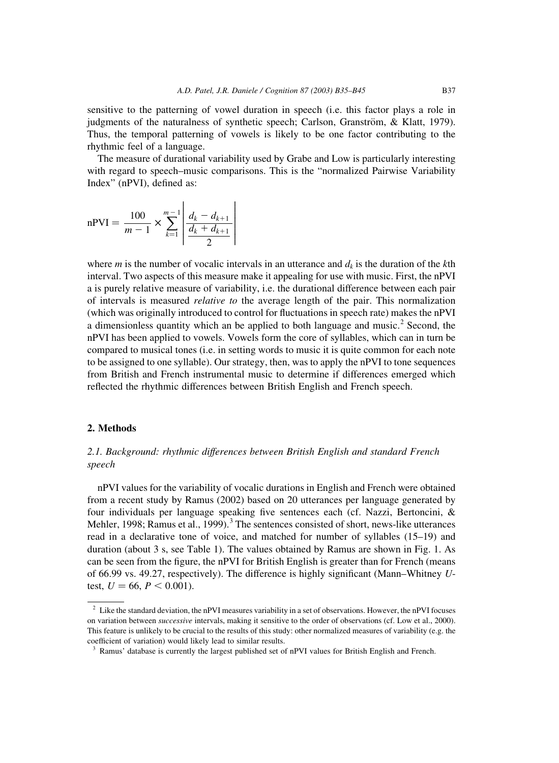sensitive to the patterning of vowel duration in speech (i.e. this factor plays a role in judgments of the naturalness of synthetic speech; Carlson, Granström, & Klatt, 1979). Thus, the temporal patterning of vowels is likely to be one factor contributing to the rhythmic feel of a language.

The measure of durational variability used by Grabe and Low is particularly interesting with regard to speech–music comparisons. This is the "normalized Pairwise Variability Index" (nPVI), defined as:

 $\mathbf{I}$ 

$$
nPVI = \frac{100}{m-1} \times \sum_{k=1}^{m-1} \left| \frac{d_k - d_{k+1}}{d_k + d_{k+1}} \right|
$$

 $\mathbf{I}$ 

where m is the number of vocalic intervals in an utterance and  $d_k$  is the duration of the kth interval. Two aspects of this measure make it appealing for use with music. First, the nPVI a is purely relative measure of variability, i.e. the durational difference between each pair of intervals is measured *relative to* the average length of the pair. This normalization (which was originally introduced to control for fluctuations in speech rate) makes the nPVI a dimensionless quantity which an be applied to both language and music.<sup>2</sup> Second, the nPVI has been applied to vowels. Vowels form the core of syllables, which can in turn be compared to musical tones (i.e. in setting words to music it is quite common for each note to be assigned to one syllable). Our strategy, then, was to apply the nPVI to tone sequences from British and French instrumental music to determine if differences emerged which reflected the rhythmic differences between British English and French speech.

# 2. Methods

# 2.1. Background: rhythmic differences between British English and standard French speech

nPVI values for the variability of vocalic durations in English and French were obtained from a recent study by Ramus (2002) based on 20 utterances per language generated by four individuals per language speaking five sentences each (cf. Nazzi, Bertoncini, & Mehler, 1998; Ramus et al., 1999).<sup>3</sup> The sentences consisted of short, news-like utterances read in a declarative tone of voice, and matched for number of syllables (15–19) and duration (about 3 s, see Table 1). The values obtained by Ramus are shown in Fig. 1. As can be seen from the figure, the nPVI for British English is greater than for French (means of 66.99 vs. 49.27, respectively). The difference is highly significant (Mann–Whitney Utest,  $U = 66$ ,  $P < 0.001$ ).

 $2$  Like the standard deviation, the nPVI measures variability in a set of observations. However, the nPVI focuses on variation between successive intervals, making it sensitive to the order of observations (cf. Low et al., 2000). This feature is unlikely to be crucial to the results of this study: other normalized measures of variability (e.g. the coefficient of variation) would likely lead to similar results.

<sup>&</sup>lt;sup>3</sup> Ramus' database is currently the largest published set of nPVI values for British English and French.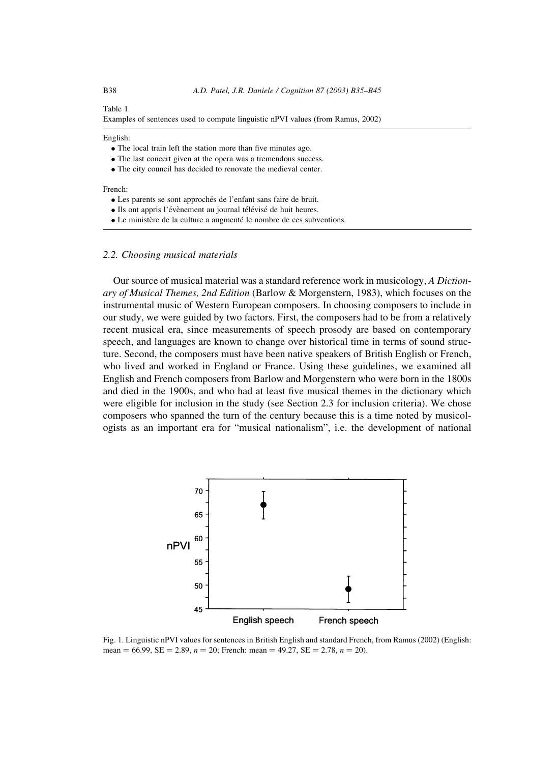#### Table 1

Examples of sentences used to compute linguistic nPVI values (from Ramus, 2002)

#### English:

- The local train left the station more than five minutes ago.
- The last concert given at the opera was a tremendous success.
- $\bullet$  The city council has decided to renovate the medieval center.

#### French:

- Les parents se sont approchés de l'enfant sans faire de bruit.
- Ils ont appris l'évènement au journal télévisé de huit heures.
- Le ministère de la culture a augmenté le nombre de ces subventions.

#### 2.2. Choosing musical materials

Our source of musical material was a standard reference work in musicology, A Dictionary of Musical Themes, 2nd Edition (Barlow & Morgenstern, 1983), which focuses on the instrumental music of Western European composers. In choosing composers to include in our study, we were guided by two factors. First, the composers had to be from a relatively recent musical era, since measurements of speech prosody are based on contemporary speech, and languages are known to change over historical time in terms of sound structure. Second, the composers must have been native speakers of British English or French, who lived and worked in England or France. Using these guidelines, we examined all English and French composers from Barlow and Morgenstern who were born in the 1800s and died in the 1900s, and who had at least five musical themes in the dictionary which were eligible for inclusion in the study (see Section 2.3 for inclusion criteria). We chose composers who spanned the turn of the century because this is a time noted by musicologists as an important era for "musical nationalism", i.e. the development of national



Fig. 1. Linguistic nPVI values for sentences in British English and standard French, from Ramus (2002) (English: mean = 66.99, SE = 2.89,  $n = 20$ ; French: mean = 49.27, SE = 2.78,  $n = 20$ ).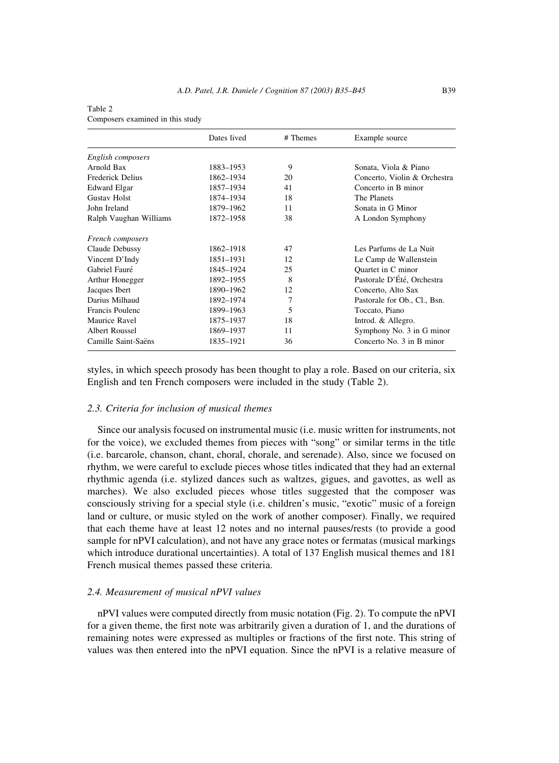|                        | Dates lived | # Themes | Example source               |
|------------------------|-------------|----------|------------------------------|
| English composers      |             |          |                              |
| Arnold Bax             | 1883-1953   | 9        | Sonata, Viola & Piano        |
| Frederick Delius       | 1862-1934   | 20       | Concerto, Violin & Orchestra |
| <b>Edward Elgar</b>    | 1857-1934   | 41       | Concerto in B minor          |
| <b>Gustav Holst</b>    | 1874-1934   | 18       | The Planets                  |
| John Ireland           | 1879-1962   | 11       | Sonata in G Minor            |
| Ralph Vaughan Williams | 1872-1958   | 38       | A London Symphony            |
| French composers       |             |          |                              |
| Claude Debussy         | 1862-1918   | 47       | Les Parfums de La Nuit       |
| Vincent D'Indy         | 1851-1931   | 12       | Le Camp de Wallenstein       |
| Gabriel Fauré          | 1845-1924   | 25       | Quartet in C minor           |
| Arthur Honegger        | 1892-1955   | 8        | Pastorale D'Été, Orchestra   |
| Jacques Ibert          | 1890-1962   | 12       | Concerto, Alto Sax           |
| Darius Milhaud         | 1892-1974   | 7        | Pastorale for Ob., Cl., Bsn. |
| Francis Poulenc        | 1899-1963   | 5        | Toccato, Piano               |
| Maurice Ravel          | 1875-1937   | 18       | Introd. & Allegro.           |
| Albert Roussel         | 1869-1937   | 11       | Symphony No. 3 in G minor    |
| Camille Saint-Saëns    | 1835-1921   | 36       | Concerto No. 3 in B minor    |

| Table 2                          |  |
|----------------------------------|--|
| Composers examined in this study |  |

styles, in which speech prosody has been thought to play a role. Based on our criteria, six English and ten French composers were included in the study (Table 2).

#### 2.3. Criteria for inclusion of musical themes

Since our analysis focused on instrumental music (i.e. music written for instruments, not for the voice), we excluded themes from pieces with "song" or similar terms in the title (i.e. barcarole, chanson, chant, choral, chorale, and serenade). Also, since we focused on rhythm, we were careful to exclude pieces whose titles indicated that they had an external rhythmic agenda (i.e. stylized dances such as waltzes, gigues, and gavottes, as well as marches). We also excluded pieces whose titles suggested that the composer was consciously striving for a special style (i.e. children's music, "exotic" music of a foreign land or culture, or music styled on the work of another composer). Finally, we required that each theme have at least 12 notes and no internal pauses/rests (to provide a good sample for nPVI calculation), and not have any grace notes or fermatas (musical markings which introduce durational uncertainties). A total of 137 English musical themes and 181 French musical themes passed these criteria.

## 2.4. Measurement of musical nPVI values

nPVI values were computed directly from music notation (Fig. 2). To compute the nPVI for a given theme, the first note was arbitrarily given a duration of 1, and the durations of remaining notes were expressed as multiples or fractions of the first note. This string of values was then entered into the nPVI equation. Since the nPVI is a relative measure of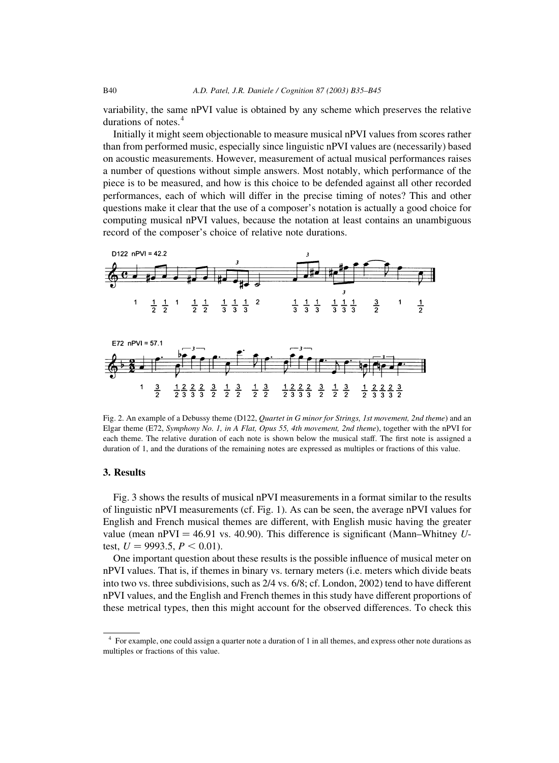variability, the same nPVI value is obtained by any scheme which preserves the relative durations of notes.<sup>4</sup>

Initially it might seem objectionable to measure musical nPVI values from scores rather than from performed music, especially since linguistic nPVI values are (necessarily) based on acoustic measurements. However, measurement of actual musical performances raises a number of questions without simple answers. Most notably, which performance of the piece is to be measured, and how is this choice to be defended against all other recorded performances, each of which will differ in the precise timing of notes? This and other questions make it clear that the use of a composer's notation is actually a good choice for computing musical nPVI values, because the notation at least contains an unambiguous record of the composer's choice of relative note durations.



Fig. 2. An example of a Debussy theme (D122, Quartet in G minor for Strings, 1st movement, 2nd theme) and an Elgar theme (E72, Symphony No. 1, in A Flat, Opus 55, 4th movement, 2nd theme), together with the nPVI for each theme. The relative duration of each note is shown below the musical staff. The first note is assigned a duration of 1, and the durations of the remaining notes are expressed as multiples or fractions of this value.

### 3. Results

Fig. 3 shows the results of musical nPVI measurements in a format similar to the results of linguistic nPVI measurements (cf. Fig. 1). As can be seen, the average nPVI values for English and French musical themes are different, with English music having the greater value (mean nPVI =  $46.91$  vs. 40.90). This difference is significant (Mann–Whitney Utest,  $U = 9993.5$ ,  $P < 0.01$ ).

One important question about these results is the possible influence of musical meter on nPVI values. That is, if themes in binary vs. ternary meters (i.e. meters which divide beats into two vs. three subdivisions, such as 2/4 vs. 6/8; cf. London, 2002) tend to have different nPVI values, and the English and French themes in this study have different proportions of these metrical types, then this might account for the observed differences. To check this

<sup>4</sup> For example, one could assign a quarter note a duration of 1 in all themes, and express other note durations as multiples or fractions of this value.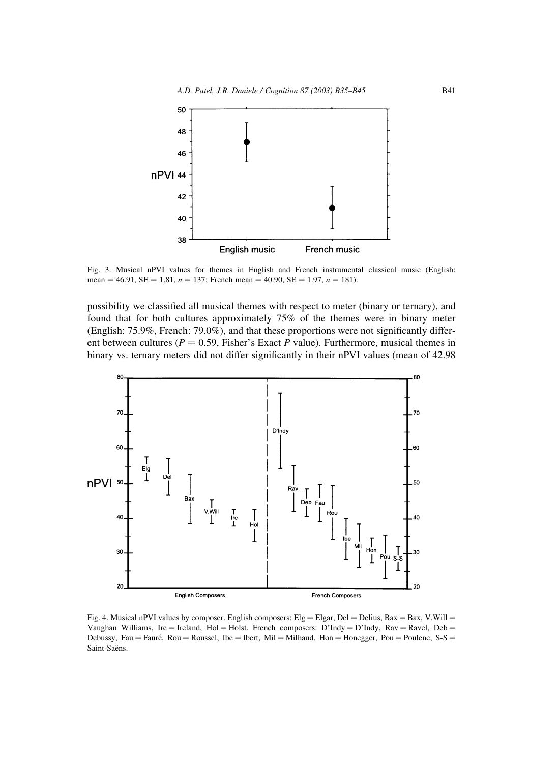

Fig. 3. Musical nPVI values for themes in English and French instrumental classical music (English: mean = 46.91, SE = 1.81,  $n = 137$ ; French mean = 40.90, SE = 1.97,  $n = 181$ ).

possibility we classified all musical themes with respect to meter (binary or ternary), and found that for both cultures approximately 75% of the themes were in binary meter (English: 75.9%, French: 79.0%), and that these proportions were not significantly different between cultures ( $P = 0.59$ , Fisher's Exact P value). Furthermore, musical themes in binary vs. ternary meters did not differ significantly in their nPVI values (mean of 42.98



Fig. 4. Musical nPVI values by composer. English composers: Elg = Elgar, Del = Delius, Bax = Bax, V.Will = Vaughan Williams, Ire = Ireland, Hol = Holst. French composers: D'Indy = D'Indy, Rav = Ravel, Deb = Debussy, Fau = Fauré, Rou = Roussel, Ibe = Ibert, Mil = Milhaud, Hon = Honegger, Pou = Poulenc, S-S = Saint-Saëns.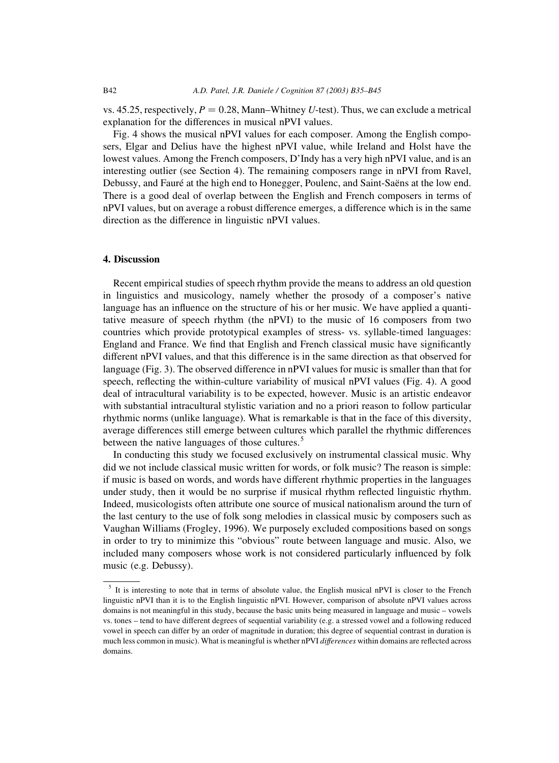vs. 45.25, respectively,  $P = 0.28$ , Mann–Whitney U-test). Thus, we can exclude a metrical explanation for the differences in musical nPVI values.

Fig. 4 shows the musical nPVI values for each composer. Among the English composers, Elgar and Delius have the highest nPVI value, while Ireland and Holst have the lowest values. Among the French composers, D'Indy has a very high nPVI value, and is an interesting outlier (see Section 4). The remaining composers range in nPVI from Ravel, Debussy, and Fauré at the high end to Honegger, Poulenc, and Saint-Saens at the low end. There is a good deal of overlap between the English and French composers in terms of nPVI values, but on average a robust difference emerges, a difference which is in the same direction as the difference in linguistic nPVI values.

## 4. Discussion

Recent empirical studies of speech rhythm provide the means to address an old question in linguistics and musicology, namely whether the prosody of a composer's native language has an influence on the structure of his or her music. We have applied a quantitative measure of speech rhythm (the nPVI) to the music of 16 composers from two countries which provide prototypical examples of stress- vs. syllable-timed languages: England and France. We find that English and French classical music have significantly different nPVI values, and that this difference is in the same direction as that observed for language (Fig. 3). The observed difference in nPVI values for music is smaller than that for speech, reflecting the within-culture variability of musical nPVI values (Fig. 4). A good deal of intracultural variability is to be expected, however. Music is an artistic endeavor with substantial intracultural stylistic variation and no a priori reason to follow particular rhythmic norms (unlike language). What is remarkable is that in the face of this diversity, average differences still emerge between cultures which parallel the rhythmic differences between the native languages of those cultures.<sup>5</sup>

In conducting this study we focused exclusively on instrumental classical music. Why did we not include classical music written for words, or folk music? The reason is simple: if music is based on words, and words have different rhythmic properties in the languages under study, then it would be no surprise if musical rhythm reflected linguistic rhythm. Indeed, musicologists often attribute one source of musical nationalism around the turn of the last century to the use of folk song melodies in classical music by composers such as Vaughan Williams (Frogley, 1996). We purposely excluded compositions based on songs in order to try to minimize this "obvious" route between language and music. Also, we included many composers whose work is not considered particularly influenced by folk music (e.g. Debussy).

<sup>&</sup>lt;sup>5</sup> It is interesting to note that in terms of absolute value, the English musical nPVI is closer to the French linguistic nPVI than it is to the English linguistic nPVI. However, comparison of absolute nPVI values across domains is not meaningful in this study, because the basic units being measured in language and music – vowels vs. tones – tend to have different degrees of sequential variability (e.g. a stressed vowel and a following reduced vowel in speech can differ by an order of magnitude in duration; this degree of sequential contrast in duration is much less common in music). What is meaningful is whether nPVI differences within domains are reflected across domains.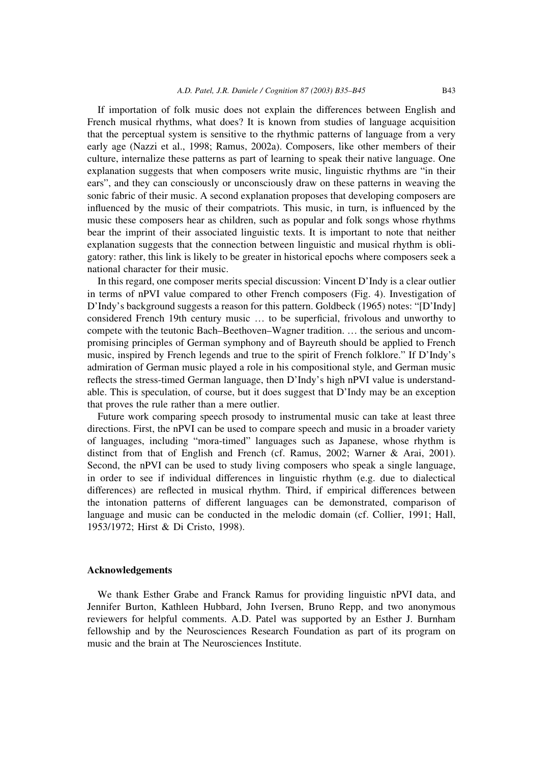If importation of folk music does not explain the differences between English and French musical rhythms, what does? It is known from studies of language acquisition that the perceptual system is sensitive to the rhythmic patterns of language from a very early age (Nazzi et al., 1998; Ramus, 2002a). Composers, like other members of their culture, internalize these patterns as part of learning to speak their native language. One explanation suggests that when composers write music, linguistic rhythms are "in their ears", and they can consciously or unconsciously draw on these patterns in weaving the sonic fabric of their music. A second explanation proposes that developing composers are influenced by the music of their compatriots. This music, in turn, is influenced by the music these composers hear as children, such as popular and folk songs whose rhythms bear the imprint of their associated linguistic texts. It is important to note that neither explanation suggests that the connection between linguistic and musical rhythm is obligatory: rather, this link is likely to be greater in historical epochs where composers seek a national character for their music.

In this regard, one composer merits special discussion: Vincent D'Indy is a clear outlier in terms of nPVI value compared to other French composers (Fig. 4). Investigation of D'Indy's background suggests a reason for this pattern. Goldbeck (1965) notes: "[D'Indy] considered French 19th century music … to be superficial, frivolous and unworthy to compete with the teutonic Bach–Beethoven–Wagner tradition. … the serious and uncompromising principles of German symphony and of Bayreuth should be applied to French music, inspired by French legends and true to the spirit of French folklore." If D'Indy's admiration of German music played a role in his compositional style, and German music reflects the stress-timed German language, then D'Indy's high nPVI value is understandable. This is speculation, of course, but it does suggest that D'Indy may be an exception that proves the rule rather than a mere outlier.

Future work comparing speech prosody to instrumental music can take at least three directions. First, the nPVI can be used to compare speech and music in a broader variety of languages, including "mora-timed" languages such as Japanese, whose rhythm is distinct from that of English and French (cf. Ramus, 2002; Warner & Arai, 2001). Second, the nPVI can be used to study living composers who speak a single language, in order to see if individual differences in linguistic rhythm (e.g. due to dialectical differences) are reflected in musical rhythm. Third, if empirical differences between the intonation patterns of different languages can be demonstrated, comparison of language and music can be conducted in the melodic domain (cf. Collier, 1991; Hall, 1953/1972; Hirst & Di Cristo, 1998).

# Acknowledgements

We thank Esther Grabe and Franck Ramus for providing linguistic nPVI data, and Jennifer Burton, Kathleen Hubbard, John Iversen, Bruno Repp, and two anonymous reviewers for helpful comments. A.D. Patel was supported by an Esther J. Burnham fellowship and by the Neurosciences Research Foundation as part of its program on music and the brain at The Neurosciences Institute.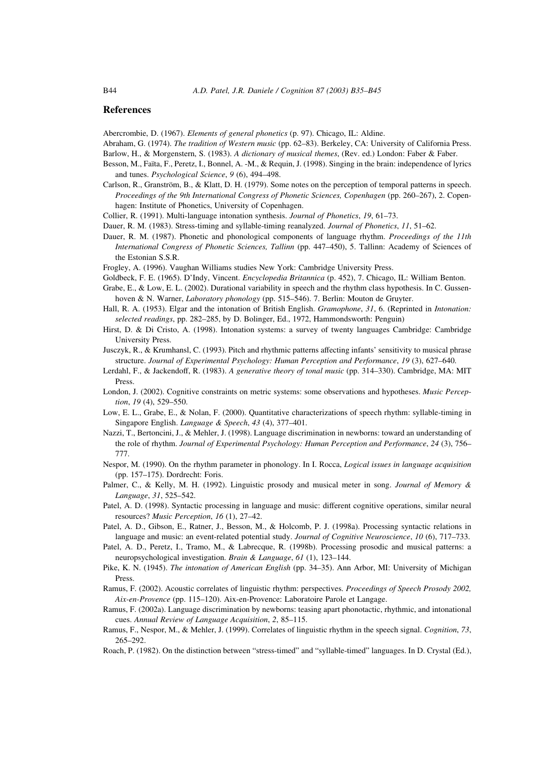# References

Abercrombie, D. (1967). Elements of general phonetics (p. 97). Chicago, IL: Aldine.

Abraham, G. (1974). The tradition of Western music (pp. 62–83). Berkeley, CA: University of California Press. Barlow, H., & Morgenstern, S. (1983). A dictionary of musical themes, (Rev. ed.) London: Faber & Faber.

- Besson, M., Faïta, F., Peretz, I., Bonnel, A. -M., & Requin, J. (1998). Singing in the brain: independence of lyrics and tunes. Psychological Science, 9 (6), 494–498.
- Carlson, R., Granström, B., & Klatt, D. H. (1979). Some notes on the perception of temporal patterns in speech. Proceedings of the 9th International Congress of Phonetic Sciences, Copenhagen (pp. 260–267), 2. Copenhagen: Institute of Phonetics, University of Copenhagen.
- Collier, R. (1991). Multi-language intonation synthesis. Journal of Phonetics, 19, 61–73.
- Dauer, R. M. (1983). Stress-timing and syllable-timing reanalyzed. Journal of Phonetics, 11, 51–62.
- Dauer, R. M. (1987). Phonetic and phonological components of language rhythm. Proceedings of the 11th International Congress of Phonetic Sciences, Tallinn (pp. 447–450), 5. Tallinn: Academy of Sciences of the Estonian S.S.R.
- Frogley, A. (1996). Vaughan Williams studies New York: Cambridge University Press.
- Goldbeck, F. E. (1965). D'Indy, Vincent. Encyclopedia Britannica (p. 452), 7. Chicago, IL: William Benton.
- Grabe, E., & Low, E. L. (2002). Durational variability in speech and the rhythm class hypothesis. In C. Gussenhoven & N. Warner, *Laboratory phonology* (pp. 515–546). 7. Berlin: Mouton de Gruyter.
- Hall, R. A. (1953). Elgar and the intonation of British English. *Gramophone*, 31, 6. (Reprinted in *Intonation*: selected readings, pp. 282–285, by D. Bolinger, Ed., 1972, Hammondsworth: Penguin)
- Hirst, D. & Di Cristo, A. (1998). Intonation systems: a survey of twenty languages Cambridge: Cambridge University Press.
- Jusczyk, R., & Krumhansl, C. (1993). Pitch and rhythmic patterns affecting infants' sensitivity to musical phrase structure. Journal of Experimental Psychology: Human Perception and Performance, 19 (3), 627–640.
- Lerdahl, F., & Jackendoff, R. (1983). A generative theory of tonal music (pp. 314–330). Cambridge, MA: MIT Press.
- London, J. (2002). Cognitive constraints on metric systems: some observations and hypotheses. *Music Percep*tion, 19 (4), 529-550.
- Low, E. L., Grabe, E., & Nolan, F. (2000). Quantitative characterizations of speech rhythm: syllable-timing in Singapore English. Language & Speech, 43 (4), 377–401.
- Nazzi, T., Bertoncini, J., & Mehler, J. (1998). Language discrimination in newborns: toward an understanding of the role of rhythm. Journal of Experimental Psychology: Human Perception and Performance, 24 (3), 756– 777.
- Nespor, M. (1990). On the rhythm parameter in phonology. In I. Rocca, Logical issues in language acquisition (pp. 157–175). Dordrecht: Foris.
- Palmer, C., & Kelly, M. H. (1992). Linguistic prosody and musical meter in song. Journal of Memory & Language, 31, 525–542.
- Patel, A. D. (1998). Syntactic processing in language and music: different cognitive operations, similar neural resources? Music Perception, 16 (1), 27–42.
- Patel, A. D., Gibson, E., Ratner, J., Besson, M., & Holcomb, P. J. (1998a). Processing syntactic relations in language and music: an event-related potential study. Journal of Cognitive Neuroscience, 10 (6), 717–733.
- Patel, A. D., Peretz, I., Tramo, M., & Labrecque, R. (1998b). Processing prosodic and musical patterns: a neuropsychological investigation. Brain & Language, 61 (1), 123–144.
- Pike, K. N. (1945). The intonation of American English (pp. 34–35). Ann Arbor, MI: University of Michigan **Press**
- Ramus, F. (2002). Acoustic correlates of linguistic rhythm: perspectives. Proceedings of Speech Prosody 2002, Aix-en-Provence (pp. 115–120). Aix-en-Provence: Laboratoire Parole et Langage.
- Ramus, F. (2002a). Language discrimination by newborns: teasing apart phonotactic, rhythmic, and intonational cues. Annual Review of Language Acquisition, 2, 85–115.
- Ramus, F., Nespor, M., & Mehler, J. (1999). Correlates of linguistic rhythm in the speech signal. Cognition, 73, 265–292.
- Roach, P. (1982). On the distinction between "stress-timed" and "syllable-timed" languages. In D. Crystal (Ed.),